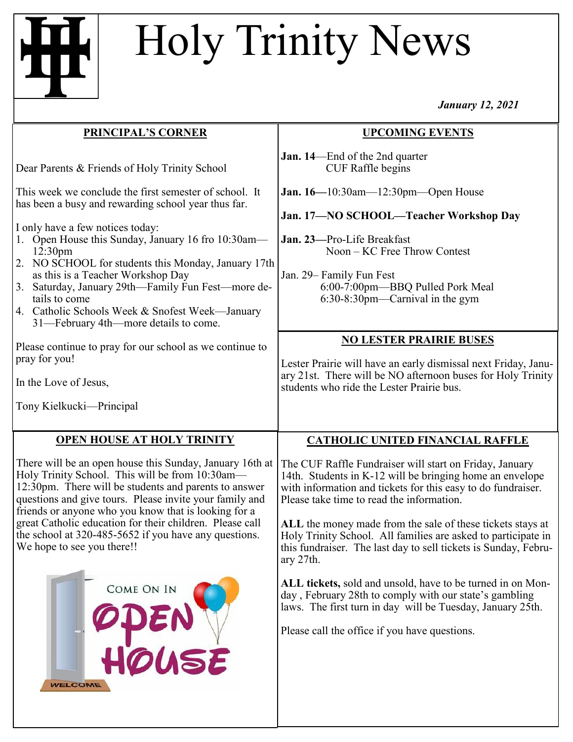# Holy Trinity News

*January 12, 2021*

| PRINCIPAL'S CORNER                                                                                                                                                                                                                                                                                                                                                                                                                                                                               | <b>UPCOMING EVENTS</b>                                                                                                                                                                                                                                                                                                                                                                                                                          |
|--------------------------------------------------------------------------------------------------------------------------------------------------------------------------------------------------------------------------------------------------------------------------------------------------------------------------------------------------------------------------------------------------------------------------------------------------------------------------------------------------|-------------------------------------------------------------------------------------------------------------------------------------------------------------------------------------------------------------------------------------------------------------------------------------------------------------------------------------------------------------------------------------------------------------------------------------------------|
| Dear Parents & Friends of Holy Trinity School                                                                                                                                                                                                                                                                                                                                                                                                                                                    | <b>Jan. 14</b> End of the 2nd quarter<br><b>CUF Raffle begins</b>                                                                                                                                                                                                                                                                                                                                                                               |
| This week we conclude the first semester of school. It<br>has been a busy and rewarding school year thus far.<br>I only have a few notices today:<br>1. Open House this Sunday, January 16 fro 10:30am-<br>12:30 <sub>pm</sub><br>2. NO SCHOOL for students this Monday, January 17th<br>as this is a Teacher Workshop Day<br>Saturday, January 29th-Family Fun Fest-more de-<br>3.<br>tails to come<br>4. Catholic Schools Week & Snofest Week—January<br>31—February 4th—more details to come. | <b>Jan.</b> 16—10:30am—12:30pm—Open House<br>Jan. 17-NO SCHOOL-Teacher Workshop Day<br>Jan. 23-Pro-Life Breakfast<br>Noon – KC Free Throw Contest<br>Jan. 29- Family Fun Fest<br>6:00-7:00pm-BBQ Pulled Pork Meal<br>$6:30-8:30$ pm—Carnival in the gym                                                                                                                                                                                         |
| Please continue to pray for our school as we continue to<br>pray for you!<br>In the Love of Jesus,<br>Tony Kielkucki—Principal                                                                                                                                                                                                                                                                                                                                                                   | <b>NO LESTER PRAIRIE BUSES</b><br>Lester Prairie will have an early dismissal next Friday, Janu-<br>ary 21st. There will be NO afternoon buses for Holy Trinity<br>students who ride the Lester Prairie bus.                                                                                                                                                                                                                                    |
| <b>OPEN HOUSE AT HOLY TRINITY</b>                                                                                                                                                                                                                                                                                                                                                                                                                                                                | <b>CATHOLIC UNITED FINANCIAL RAFFLE</b>                                                                                                                                                                                                                                                                                                                                                                                                         |
| There will be an open house this Sunday, January 16th at<br>Holy Trinity School. This will be from 10:30am-<br>12:30pm. There will be students and parents to answer<br>questions and give tours. Please invite your family and<br>friends or anyone who you know that is looking for a<br>great Catholic education for their children. Please call<br>the school at 320-485-5652 if you have any questions.<br>We hope to see you there!!                                                       | The CUF Raffle Fundraiser will start on Friday, January<br>14th. Students in K-12 will be bringing home an envelope<br>with information and tickets for this easy to do fundraiser.<br>Please take time to read the information.<br>ALL the money made from the sale of these tickets stays at<br>Holy Trinity School. All families are asked to participate in<br>this fundraiser. The last day to sell tickets is Sunday, Febru-<br>ary 27th. |
| COME ON IN                                                                                                                                                                                                                                                                                                                                                                                                                                                                                       | ALL tickets, sold and unsold, have to be turned in on Mon-<br>day, February 28th to comply with our state's gambling<br>laws. The first turn in day will be Tuesday, January 25th.                                                                                                                                                                                                                                                              |